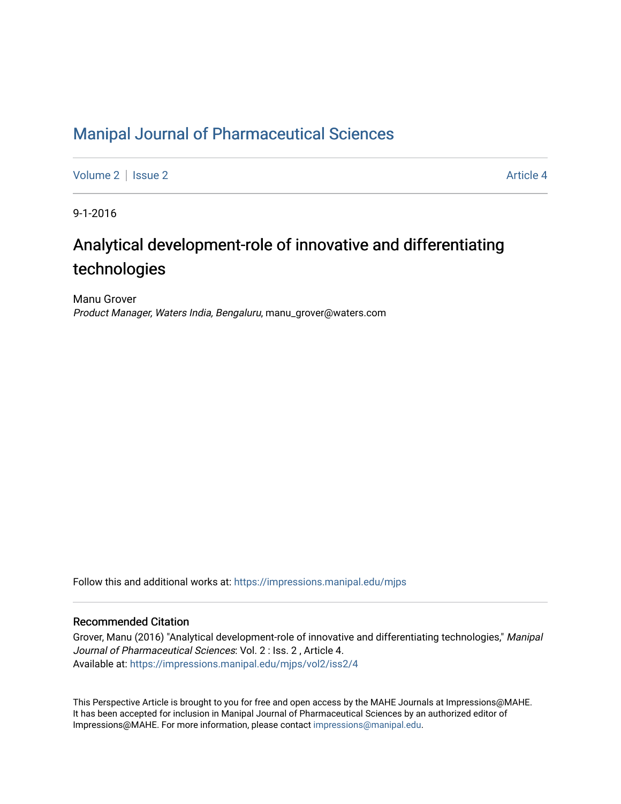# [Manipal Journal of Pharmaceutical Sciences](https://impressions.manipal.edu/mjps)

[Volume 2](https://impressions.manipal.edu/mjps/vol2) | [Issue 2](https://impressions.manipal.edu/mjps/vol2/iss2) Article 4

9-1-2016

# Analytical development-role of innovative and differentiating technologies

Manu Grover Product Manager, Waters India, Bengaluru, manu\_grover@waters.com

Follow this and additional works at: [https://impressions.manipal.edu/mjps](https://impressions.manipal.edu/mjps?utm_source=impressions.manipal.edu%2Fmjps%2Fvol2%2Fiss2%2F4&utm_medium=PDF&utm_campaign=PDFCoverPages)

# Recommended Citation

Grover, Manu (2016) "Analytical development-role of innovative and differentiating technologies," Manipal Journal of Pharmaceutical Sciences: Vol. 2 : Iss. 2 , Article 4. Available at: [https://impressions.manipal.edu/mjps/vol2/iss2/4](https://impressions.manipal.edu/mjps/vol2/iss2/4?utm_source=impressions.manipal.edu%2Fmjps%2Fvol2%2Fiss2%2F4&utm_medium=PDF&utm_campaign=PDFCoverPages)

This Perspective Article is brought to you for free and open access by the MAHE Journals at Impressions@MAHE. It has been accepted for inclusion in Manipal Journal of Pharmaceutical Sciences by an authorized editor of Impressions@MAHE. For more information, please contact [impressions@manipal.edu](mailto:impressions@manipal.edu).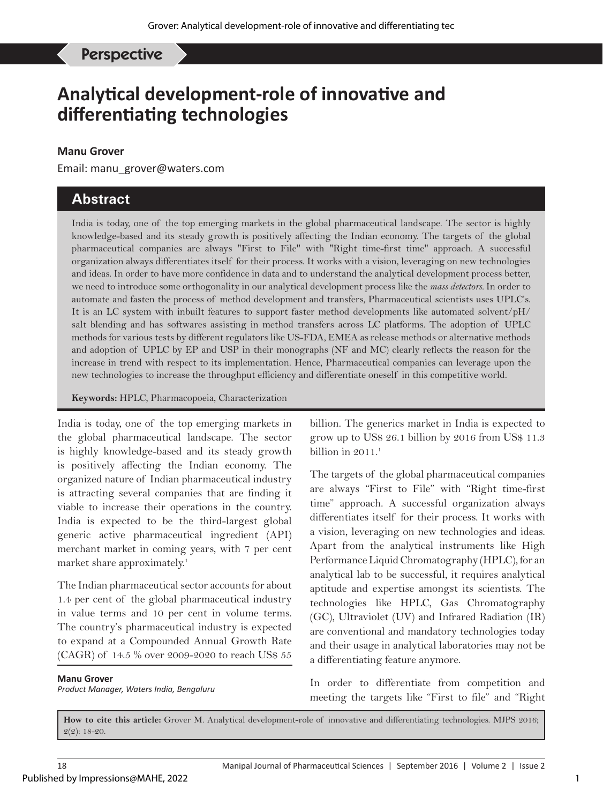Grover M, *et al*: Analytical development-role of innovative technologies Perspective

# **Analytical development-role of innovative and differentiating technologies**

### **Manu Grover**

Email: manu\_grover@waters.com

# **Abstract**

India is today, one of the top emerging markets in the global pharmaceutical landscape. The sector is highly knowledge-based and its steady growth is positively affecting the Indian economy. The targets of the global pharmaceutical companies are always "First to File" with "Right time-first time" approach. A successful organization always differentiates itself for their process. It works with a vision, leveraging on new technologies and ideas. In order to have more confidence in data and to understand the analytical development process better, we need to introduce some orthogonality in our analytical development process like the *mass detectors.* In order to automate and fasten the process of method development and transfers, Pharmaceutical scientists uses UPLC's. It is an LC system with inbuilt features to support faster method developments like automated solvent/pH/ salt blending and has softwares assisting in method transfers across LC platforms. The adoption of UPLC methods for various tests by different regulators like US-FDA, EMEA as release methods or alternative methods and adoption of UPLC by EP and USP in their monographs (NF and MC) clearly reflects the reason for the increase in trend with respect to its implementation. Hence, Pharmaceutical companies can leverage upon the new technologies to increase the throughput efficiency and differentiate oneself in this competitive world.

**Keywords:** HPLC, Pharmacopoeia, Characterization

India is today, one of the top emerging markets in the global pharmaceutical landscape. The sector is highly knowledge-based and its steady growth is positively affecting the Indian economy. The organized nature of Indian pharmaceutical industry is attracting several companies that are finding it viable to increase their operations in the country. India is expected to be the third-largest global generic active pharmaceutical ingredient (API) merchant market in coming years, with 7 per cent market share approximately.1

The Indian pharmaceutical sector accounts for about 1.4 per cent of the global pharmaceutical industry in value terms and 10 per cent in volume terms. The country's pharmaceutical industry is expected to expand at a Compounded Annual Growth Rate (CAGR) of 14.5 % over 2009-2020 to reach US\$ 55

#### **Manu Grover**

*Product Manager, Waters India, Bengaluru*

billion. The generics market in India is expected to grow up to US\$ 26.1 billion by 2016 from US\$ 11.3 billion in  $2011$ .<sup>1</sup>

The targets of the global pharmaceutical companies are always "First to File" with "Right time-first time" approach. A successful organization always differentiates itself for their process. It works with a vision, leveraging on new technologies and ideas. Apart from the analytical instruments like High Performance Liquid Chromatography (HPLC), for an analytical lab to be successful, it requires analytical aptitude and expertise amongst its scientists. The technologies like HPLC, Gas Chromatography (GC), Ultraviolet (UV) and Infrared Radiation (IR) are conventional and mandatory technologies today and their usage in analytical laboratories may not be a differentiating feature anymore.

In order to differentiate from competition and meeting the targets like "First to file" and "Right

**How to cite this article:** Grover M. Analytical development-role of innovative and differentiating technologies. MJPS 2016; 2(2): 18-20.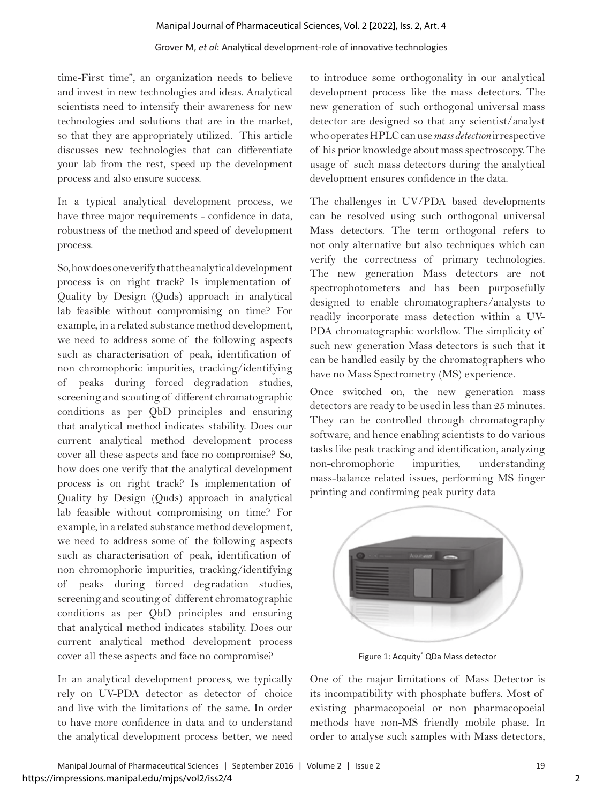# Grover M, *et al*: Analytical development-role of innovative technologies

time-First time", an organization needs to believe and invest in new technologies and ideas. Analytical scientists need to intensify their awareness for new technologies and solutions that are in the market, so that they are appropriately utilized. This article discusses new technologies that can differentiate your lab from the rest, speed up the development process and also ensure success.

In a typical analytical development process, we have three major requirements - confidence in data, robustness of the method and speed of development process.

So, how does one verify that the analytical development process is on right track? Is implementation of Quality by Design (Quds) approach in analytical lab feasible without compromising on time? For example, in a related substance method development, we need to address some of the following aspects such as characterisation of peak, identification of non chromophoric impurities, tracking/identifying of peaks during forced degradation studies, screening and scouting of different chromatographic conditions as per QbD principles and ensuring that analytical method indicates stability. Does our current analytical method development process cover all these aspects and face no compromise? So, how does one verify that the analytical development process is on right track? Is implementation of Quality by Design (Quds) approach in analytical lab feasible without compromising on time? For example, in a related substance method development, we need to address some of the following aspects such as characterisation of peak, identification of non chromophoric impurities, tracking/identifying of peaks during forced degradation studies, screening and scouting of different chromatographic conditions as per QbD principles and ensuring that analytical method indicates stability. Does our current analytical method development process cover all these aspects and face no compromise?

In an analytical development process, we typically rely on UV-PDA detector as detector of choice and live with the limitations of the same. In order to have more confidence in data and to understand the analytical development process better, we need

to introduce some orthogonality in our analytical development process like the mass detectors. The new generation of such orthogonal universal mass detector are designed so that any scientist/analyst who operates HPLC can use *mass detection* irrespective of his prior knowledge about mass spectroscopy. The usage of such mass detectors during the analytical development ensures confidence in the data.

The challenges in UV/PDA based developments can be resolved using such orthogonal universal Mass detectors. The term orthogonal refers to not only alternative but also techniques which can verify the correctness of primary technologies. The new generation Mass detectors are not spectrophotometers and has been purposefully designed to enable chromatographers/analysts to readily incorporate mass detection within a UV-PDA chromatographic workflow. The simplicity of such new generation Mass detectors is such that it can be handled easily by the chromatographers who have no Mass Spectrometry (MS) experience.

Once switched on, the new generation mass detectors are ready to be used in less than 25 minutes. They can be controlled through chromatography software, and hence enabling scientists to do various tasks like peak tracking and identification, analyzing non-chromophoric impurities, understanding mass-balance related issues, performing MS finger printing and confirming peak purity data



Figure 1: Acquity<sup>®</sup> QDa Mass detector

One of the major limitations of Mass Detector is its incompatibility with phosphate buffers. Most of existing pharmacopoeial or non pharmacopoeial methods have non-MS friendly mobile phase. In order to analyse such samples with Mass detectors,

2